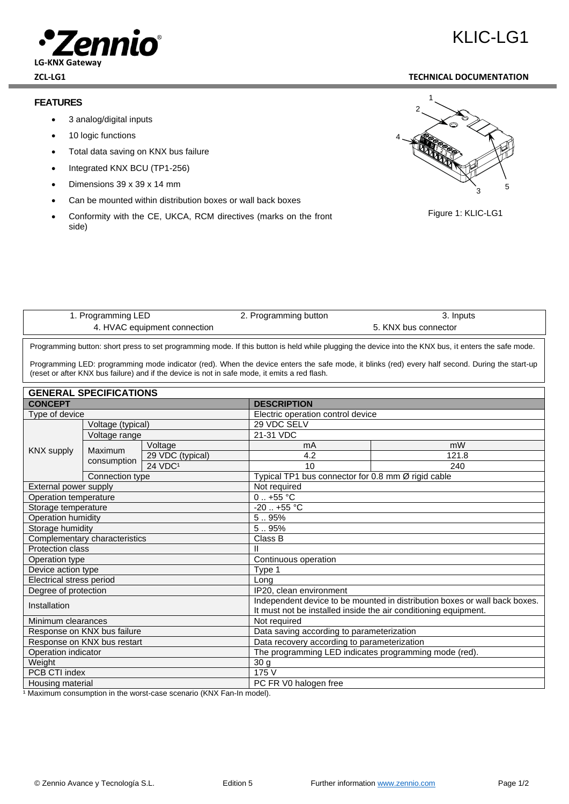

#### **FEATURES**

- 3 analog/digital inputs
- 10 logic functions
- Total data saving on KNX bus failure
- Integrated KNX BCU (TP1-256)
- Dimensions 39 x 39 x 14 mm
- Can be mounted within distribution boxes or wall back boxes
- Conformity with the CE, UKCA, RCM directives (marks on the front side)

# **ZCL-LG1 TECHNICAL DOCUMENTATION**

 $K$ IC-LG1





| ramming LED                             | ogramming button | Inputs |
|-----------------------------------------|------------------|--------|
| $\alpha$ HVAC<br>C equipment connection | connector        |        |
|                                         |                  |        |
|                                         |                  |        |

Programming button: short press to set programming mode. If this button is held while plugging the device into the KNX bus, it enters the safe mode.

Programming LED: programming mode indicator (red). When the device enters the safe mode, it blinks (red) every half second. During the start-up (reset or after KNX bus failure) and if the device is not in safe mode, it emits a red flash.

## **GENERAL SPECIFICATIONS**

| OLINLINAL OF LUII IUA HUNG    |                    |                                   |                                                                            |                                                    |  |  |
|-------------------------------|--------------------|-----------------------------------|----------------------------------------------------------------------------|----------------------------------------------------|--|--|
| <b>CONCEPT</b>                | <b>DESCRIPTION</b> |                                   |                                                                            |                                                    |  |  |
| Type of device                |                    | Electric operation control device |                                                                            |                                                    |  |  |
| Voltage (typical)             |                    |                                   | 29 VDC SELV                                                                |                                                    |  |  |
| <b>KNX supply</b>             | Voltage range      |                                   | 21-31 VDC                                                                  |                                                    |  |  |
|                               | Maximum            | Voltage                           | mA                                                                         | mW                                                 |  |  |
|                               |                    | 29 VDC (typical)                  | 4.2                                                                        | 121.8                                              |  |  |
|                               | consumption        | $24$ VDC <sup>1</sup>             | 10                                                                         | 240                                                |  |  |
|                               | Connection type    |                                   |                                                                            | Typical TP1 bus connector for 0.8 mm Ø rigid cable |  |  |
| External power supply         |                    | Not required                      |                                                                            |                                                    |  |  |
| Operation temperature         |                    | $0.455 \text{ °C}$                |                                                                            |                                                    |  |  |
| Storage temperature           |                    | $-20$ $+55$ °C                    |                                                                            |                                                    |  |  |
| Operation humidity            |                    | 5.95%                             |                                                                            |                                                    |  |  |
| Storage humidity              |                    | 5.95%                             |                                                                            |                                                    |  |  |
| Complementary characteristics |                    | Class B                           |                                                                            |                                                    |  |  |
| <b>Protection class</b>       |                    |                                   |                                                                            |                                                    |  |  |
| Operation type                |                    | Continuous operation              |                                                                            |                                                    |  |  |
| Device action type            |                    | Type 1                            |                                                                            |                                                    |  |  |
| Electrical stress period      |                    | Lona                              |                                                                            |                                                    |  |  |
| Degree of protection          |                    | IP20, clean environment           |                                                                            |                                                    |  |  |
| Installation                  |                    |                                   | Independent device to be mounted in distribution boxes or wall back boxes. |                                                    |  |  |
|                               |                    |                                   | It must not be installed inside the air conditioning equipment.            |                                                    |  |  |
| Minimum clearances            |                    |                                   | Not required                                                               |                                                    |  |  |
| Response on KNX bus failure   |                    |                                   | Data saving according to parameterization                                  |                                                    |  |  |
| Response on KNX bus restart   |                    |                                   | Data recovery according to parameterization                                |                                                    |  |  |
| Operation indicator           |                    |                                   | The programming LED indicates programming mode (red).                      |                                                    |  |  |
| Weight                        |                    | 30 g                              |                                                                            |                                                    |  |  |
| PCB CTI index                 |                    | 175 V                             |                                                                            |                                                    |  |  |
| Housing material              |                    | PC FR V0 halogen free             |                                                                            |                                                    |  |  |

1 Maximum consumption in the worst-case scenario (KNX Fan-In model).